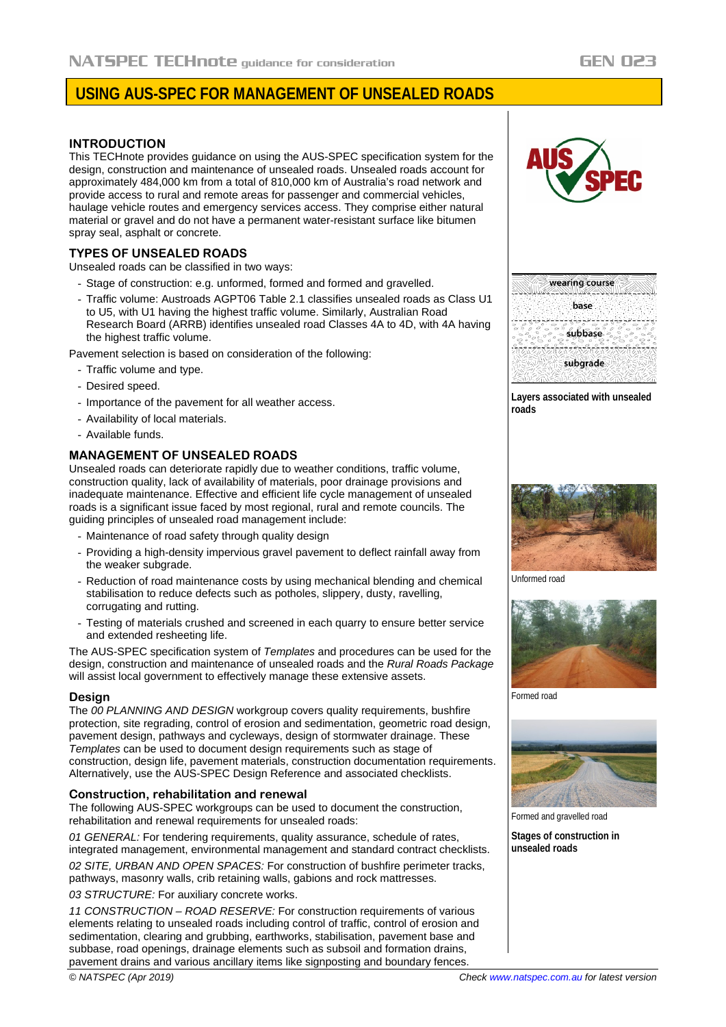# **USING AUS-SPEC FOR MANAGEMENT OF UNSEALED ROADS**

## **INTRODUCTION**

This TECHnote provides guidance on using the AUS-SPEC specification system for the design, construction and maintenance of unsealed roads. Unsealed roads account for approximately 484,000 km from a total of 810,000 km of Australia's road network and provide access to rural and remote areas for passenger and commercial vehicles, haulage vehicle routes and emergency services access. They comprise either natural material or gravel and do not have a permanent water-resistant surface like bitumen spray seal, asphalt or concrete.

# **TYPES OF UNSEALED ROADS**

Unsealed roads can be classified in two ways:

- Stage of construction: e.g. unformed, formed and formed and gravelled.
- Traffic volume: Austroads AGPT06 Table 2.1 classifies unsealed roads as Class U1 to U5, with U1 having the highest traffic volume. Similarly, Australian Road Research Board (ARRB) identifies unsealed road Classes 4A to 4D, with 4A having the highest traffic volume.

Pavement selection is based on consideration of the following:

- Traffic volume and type.
- Desired speed.
- Importance of the pavement for all weather access.
- Availability of local materials.
- Available funds.

# **MANAGEMENT OF UNSEALED ROADS**

Unsealed roads can deteriorate rapidly due to weather conditions, traffic volume, construction quality, lack of availability of materials, poor drainage provisions and inadequate maintenance. Effective and efficient life cycle management of unsealed roads is a significant issue faced by most regional, rural and remote councils. The guiding principles of unsealed road management include:

- Maintenance of road safety through quality design
- Providing a high-density impervious gravel pavement to deflect rainfall away from the weaker subgrade.
- Reduction of road maintenance costs by using mechanical blending and chemical stabilisation to reduce defects such as potholes, slippery, dusty, ravelling, corrugating and rutting.
- Testing of materials crushed and screened in each quarry to ensure better service and extended resheeting life.

The AUS-SPEC specification system of *Templates* and procedures can be used for the design, construction and maintenance of unsealed roads and the *Rural Roads Package* will assist local government to effectively manage these extensive assets.

#### **Design**

The *00 PLANNING AND DESIGN* workgroup covers quality requirements, bushfire protection, site regrading, control of erosion and sedimentation, geometric road design, pavement design, pathways and cycleways, design of stormwater drainage. These *Templates* can be used to document design requirements such as stage of construction, design life, pavement materials, construction documentation requirements. Alternatively, use the AUS-SPEC Design Reference and associated checklists.

#### **Construction, rehabilitation and renewal**

The following AUS-SPEC workgroups can be used to document the construction, rehabilitation and renewal requirements for unsealed roads:

*01 GENERAL:* For tendering requirements, quality assurance, schedule of rates, integrated management, environmental management and standard contract checklists.

*02 SITE, URBAN AND OPEN SPACES:* For construction of bushfire perimeter tracks, pathways, masonry walls, crib retaining walls, gabions and rock mattresses.

*03 STRUCTURE:* For auxiliary concrete works.

*11 CONSTRUCTION – ROAD RESERVE:* For construction requirements of various elements relating to unsealed roads including control of traffic, control of erosion and sedimentation, clearing and grubbing, earthworks, stabilisation, pavement base and subbase, road openings, drainage elements such as subsoil and formation drains, pavement drains and various ancillary items like signposting and boundary fences.



| wearing course |
|----------------|
|                |
|                |
| base           |
|                |
|                |
| subbase        |
|                |
|                |
| subgrade       |
|                |
|                |
|                |

**Layers associated with unsealed roads**



Unformed road



Formed road



Formed and gravelled road

**Stages of construction in unsealed roads**